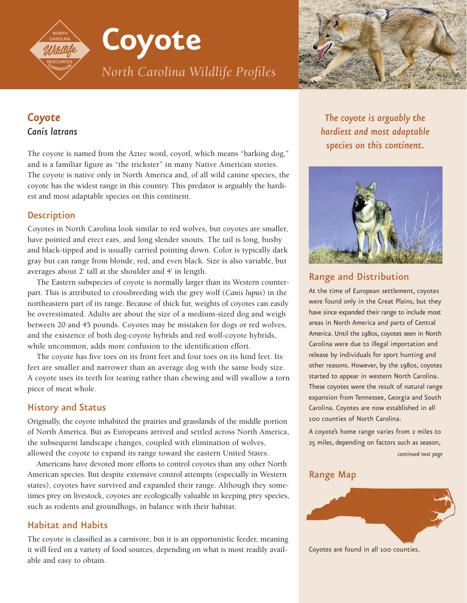**Coyote**

*North Carolina Wildlife Profiles*



# *Coyote Canis latrans*

The coyote is named from the Aztec word, coyotl, which means "barking dog," and is a familiar figure as "the trickster" in many Native American stories. The coyote is native only in North America and, of all wild canine species, the coyote has the widest range in this country. This predator is arguably the hardiest and most adaptable species on this continent.

## **Description**

Coyotes in North Carolina look similar to red wolves, but coyotes are smaller, have pointed and erect ears, and long slender snouts. The tail is long, bushy and black-tipped and is usually carried pointing down. Color is typically dark gray but can range from blonde, red, and even black. Size is also variable, but averages about 2' tall at the shoulder and 4' in length.

The Eastern subspecies of coyote is normally larger than its Western counterpart. This is attributed to crossbreeding with the grey wolf (*Canis lupus*) in the northeastern part of its range. Because of thick fur, weights of coyotes can easily be overestimated. Adults are about the size of a medium-sized dog and weigh between 20 and 45 pounds. Coyotes may be mistaken for dogs or red wolves, and the existence of both dog-coyote hybrids and red wolf-coyote hybrids, while uncommon, adds more confusion to the identification effort.

The coyote has five toes on its front feet and four toes on its hind feet. Its feet are smaller and narrower than an average dog with the same body size. A coyote uses its teeth for tearing rather than chewing and will swallow a torn piece of meat whole.

# History and Status

Originally, the coyote inhabited the prairies and grasslands of the middle portion of North America. But as Europeans arrived and settled across North America, the subsequent landscape changes, coupled with elimination of wolves, allowed the coyote to expand its range toward the eastern United States.

Americans have devoted more efforts to control coyotes than any other North American species. But despite extensive control attempts (especially in Western states), coyotes have survived and expanded their range. Although they sometimes prey on livestock, coyotes are ecologically valuable in keeping prey species, such as rodents and groundhogs, in balance with their habitat.

# Habitat and Habits

The coyote is classified as a carnivore, but it is an opportunistic feeder, meaning it will feed on a variety of food sources, depending on what is most readily available and easy to obtain.

*The coyote is arguably the hardiest and most adaptable species on this continent.*



# Range and Distribution

At the time of European settlement, coyotes were found only in the Great Plains, but they have since expanded their range to include most areas in North America and parts of Central America. Until the 1980s, coyotes seen in North Carolina were due to illegal importation and release by individuals for sport hunting and other reasons. However, by the 1980s, coyotes started to appear in western North Carolina. These coyotes were the result of natural range expansion from Tennessee, Georgia and South Carolina. Coyotes are now established in all 100 counties of North Carolina.

A coyote's home range varies from 2 miles to 25 miles, depending on factors such as season, *continued next page*

# Range Map



Coyotes are found in all 100 counties.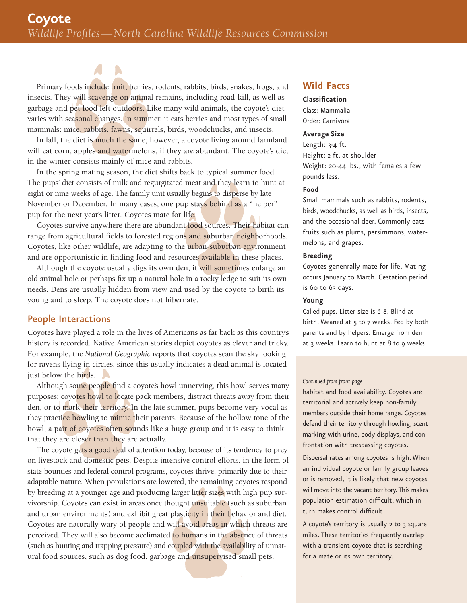Primary foods include fruit, berries, rodents, rabbits, birds, snakes, frogs, and insects. They will scavenge on animal remains, including road-kill, as well as garbage and pet food left outdoors. Like many wild animals, the coyote's diet varies with seasonal changes. In summer, it eats berries and most types of small mammals: mice, rabbits, fawns, squirrels, birds, woodchucks, and insects.

In fall, the diet is much the same; however, a coyote living around farmland will eat corn, apples and watermelons, if they are abundant. The coyote's diet in the winter consists mainly of mice and rabbits.

In the spring mating season, the diet shifts back to typical summer food. The pups' diet consists of milk and regurgitated meat and they learn to hunt at eight or nine weeks of age. The family unit usually begins to disperse by late November or December. In many cases, one pup stays behind as a "helper" pup for the next year's litter. Coyotes mate for life.

Coyotes survive anywhere there are abundant food sources. Their habitat can range from agricultural fields to forested regions and suburban neighborhoods. Coyotes, like other wildlife, are adapting to the urban-suburban environment and are opportunistic in finding food and resources available in these places.

Although the coyote usually digs its own den, it will sometimes enlarge an old animal hole or perhaps fix up a natural hole in a rocky ledge to suit its own needs. Dens are usually hidden from view and used by the coyote to birth its young and to sleep. The coyote does not hibernate.

### People Interactions

Coyotes have played a role in the lives of Americans as far back as this country's history is recorded. Native American stories depict coyotes as clever and tricky. For example, the *National Geographic* reports that coyotes scan the sky looking for ravens flying in circles, since this usually indicates a dead animal is located just below the birds.

Although some people find a coyote's howl unnerving, this howl serves many purposes; coyotes howl to locate pack members, distract threats away from their den, or to mark their territory. In the late summer, pups become very vocal as they practice howling to mimic their parents. Because of the hollow tone of the howl, a pair of coyotes often sounds like a huge group and it is easy to think that they are closer than they are actually.

The coyote gets a good deal of attention today, because of its tendency to prey on livestock and domestic pets. Despite intensive control efforts, in the form of state bounties and federal control programs, coyotes thrive, primarily due to their adaptable nature. When populations are lowered, the remaining coyotes respond by breeding at a younger age and producing larger litter sizes with high pup survivorship. Coyotes can exist in areas once thought unsuitable (such as suburban and urban environments) and exhibit great plasticity in their behavior and diet. Coyotes are naturally wary of people and will avoid areas in which threats are perceived. They will also become acclimated to humans in the absence of threats (such as hunting and trapping pressure) and coupled with the availability of unnatural food sources, such as dog food, garbage and unsupervised small pets.

### **Wild Facts**

**Classification** Class: Mammalia Order: Carnivora

#### **Average Size**

Length: 3-4 ft. Height: 2 ft. at shoulder Weight: 20-44 lbs., with females a few pounds less.

#### **Food**

Small mammals such as rabbits, rodents, birds, woodchucks, as well as birds, insects, and the occasional deer. Commonly eats fruits such as plums, persimmons, watermelons, and grapes.

#### **Breeding**

Coyotes genenrally mate for life. Mating occurs January to March. Gestation period is 60 to 63 days.

#### **Young**

Called pups. Litter size is 6-8. Blind at birth. Weaned at 5 to 7 weeks. Fed by both parents and by helpers. Emerge from den at 3 weeks. Learn to hunt at 8 to 9 weeks.

#### *Continued from front page*

habitat and food availability. Coyotes are territorial and actively keep non-family members outside their home range. Coyotes defend their territory through howling, scent marking with urine, body displays, and confrontation with trespassing coyotes.

Dispersal rates among coyotes is high. When an individual coyote or family group leaves or is removed, it is likely that new coyotes will move into the vacant territory. This makes population estimation difficult, which in turn makes control difficult.

A coyote's territory is usually 2 to 3 square miles. These territories frequently overlap with a transient coyote that is searching for a mate or its own territory.